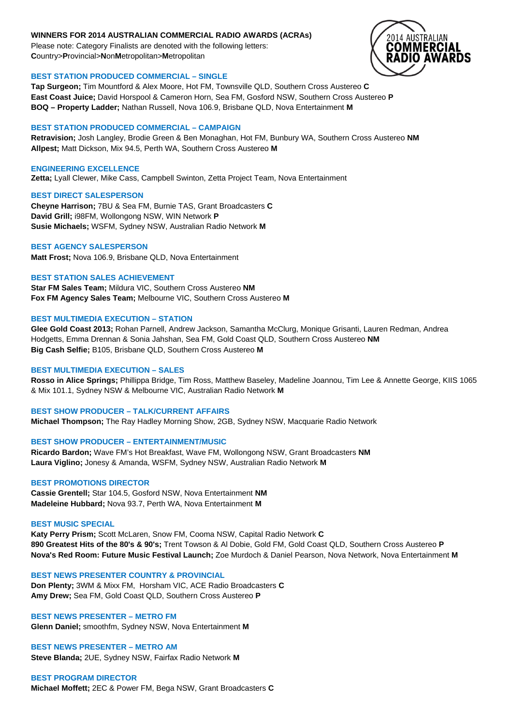# **WINNERS FOR 2014 AUSTRALIAN COMMERCIAL RADIO AWARDS (ACRAs)**

Please note: Category Finalists are denoted with the following letters: **C**ountry>**P**rovincial>**N**on**M**etropolitan>**M**etropolitan



### **BEST STATION PRODUCED COMMERCIAL – SINGLE**

**Tap Surgeon;** Tim Mountford & Alex Moore, Hot FM, Townsville QLD, Southern Cross Austereo **C East Coast Juice;** David Horspool & Cameron Horn, Sea FM, Gosford NSW, Southern Cross Austereo **P BOQ – Property Ladder;** Nathan Russell, Nova 106.9, Brisbane QLD, Nova Entertainment **M**

## **BEST STATION PRODUCED COMMERCIAL – CAMPAIGN**

**Retravision;** Josh Langley, Brodie Green & Ben Monaghan, Hot FM, Bunbury WA, Southern Cross Austereo **NM Allpest;** Matt Dickson, Mix 94.5, Perth WA, Southern Cross Austereo **M**

## **ENGINEERING EXCELLENCE**

**Zetta;** Lyall Clewer, Mike Cass, Campbell Swinton, Zetta Project Team, Nova Entertainment

## **BEST DIRECT SALESPERSON**

**Cheyne Harrison;** 7BU & Sea FM, Burnie TAS, Grant Broadcasters **C David Grill;** i98FM, Wollongong NSW, WIN Network **P Susie Michaels;** WSFM, Sydney NSW, Australian Radio Network **M**

## **BEST AGENCY SALESPERSON**

**Matt Frost;** Nova 106.9, Brisbane QLD, Nova Entertainment

## **BEST STATION SALES ACHIEVEMENT**

**Star FM Sales Team;** Mildura VIC, Southern Cross Austereo **NM Fox FM Agency Sales Team;** Melbourne VIC, Southern Cross Austereo **M**

# **BEST MULTIMEDIA EXECUTION – STATION**

**Glee Gold Coast 2013;** Rohan Parnell, Andrew Jackson, Samantha McClurg, Monique Grisanti, Lauren Redman, Andrea Hodgetts, Emma Drennan & Sonia Jahshan, Sea FM, Gold Coast QLD, Southern Cross Austereo **NM Big Cash Selfie;** B105, Brisbane QLD, Southern Cross Austereo **M**

### **BEST MULTIMEDIA EXECUTION – SALES**

**Rosso in Alice Springs;** Phillippa Bridge, Tim Ross, Matthew Baseley, Madeline Joannou, Tim Lee & Annette George, KIIS 1065 & Mix 101.1, Sydney NSW & Melbourne VIC, Australian Radio Network **M**

# **BEST SHOW PRODUCER – TALK/CURRENT AFFAIRS**

**Michael Thompson;** The Ray Hadley Morning Show, 2GB, Sydney NSW, Macquarie Radio Network

# **BEST SHOW PRODUCER – ENTERTAINMENT/MUSIC**

**Ricardo Bardon;** Wave FM's Hot Breakfast, Wave FM, Wollongong NSW, Grant Broadcasters **NM Laura Viglino;** Jonesy & Amanda, WSFM, Sydney NSW, Australian Radio Network **M**

### **BEST PROMOTIONS DIRECTOR**

**Cassie Grentell;** Star 104.5, Gosford NSW, Nova Entertainment **NM Madeleine Hubbard;** Nova 93.7, Perth WA, Nova Entertainment **M**

### **BEST MUSIC SPECIAL**

**Katy Perry Prism;** Scott McLaren, Snow FM, Cooma NSW, Capital Radio Network **C 890 Greatest Hits of the 80's & 90's;** Trent Towson & Al Dobie, Gold FM, Gold Coast QLD, Southern Cross Austereo **P Nova's Red Room: Future Music Festival Launch;** Zoe Murdoch & Daniel Pearson, Nova Network, Nova Entertainment **M**

# **BEST NEWS PRESENTER COUNTRY & PROVINCIAL**

**Don Plenty;** 3WM & Mixx FM, Horsham VIC, ACE Radio Broadcasters **C Amy Drew;** Sea FM, Gold Coast QLD, Southern Cross Austereo **P**

### **BEST NEWS PRESENTER – METRO FM**

**Glenn Daniel;** smoothfm, Sydney NSW, Nova Entertainment **M**

**BEST NEWS PRESENTER – METRO AM Steve Blanda;** 2UE, Sydney NSW, Fairfax Radio Network **M**

# **BEST PROGRAM DIRECTOR**

**Michael Moffett;** 2EC & Power FM, Bega NSW, Grant Broadcasters **C**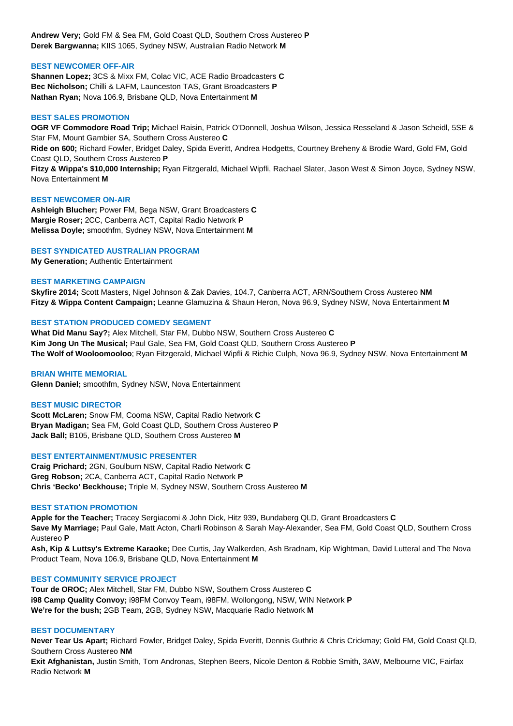**Andrew Very;** Gold FM & Sea FM, Gold Coast QLD, Southern Cross Austereo **P Derek Bargwanna;** KIIS 1065, Sydney NSW, Australian Radio Network **M**

### **BEST NEWCOMER OFF-AIR**

**Shannen Lopez;** 3CS & Mixx FM, Colac VIC, ACE Radio Broadcasters **C Bec Nicholson;** Chilli & LAFM, Launceston TAS, Grant Broadcasters **P Nathan Ryan;** Nova 106.9, Brisbane QLD, Nova Entertainment **M**

## **BEST SALES PROMOTION**

**OGR VF Commodore Road Trip;** Michael Raisin, Patrick O'Donnell, Joshua Wilson, Jessica Resseland & Jason Scheidl, 5SE & Star FM, Mount Gambier SA, Southern Cross Austereo **C Ride on 600;** Richard Fowler, Bridget Daley, Spida Everitt, Andrea Hodgetts, Courtney Breheny & Brodie Ward, Gold FM, Gold Coast QLD, Southern Cross Austereo **P Fitzy & Wippa's \$10,000 Internship;** Ryan Fitzgerald, Michael Wipfli, Rachael Slater, Jason West & Simon Joyce, Sydney NSW, Nova Entertainment **M**

#### **BEST NEWCOMER ON-AIR**

**Ashleigh Blucher;** Power FM, Bega NSW, Grant Broadcasters **C Margie Roser;** 2CC, Canberra ACT, Capital Radio Network **P Melissa Doyle;** smoothfm, Sydney NSW, Nova Entertainment **M**

## **BEST SYNDICATED AUSTRALIAN PROGRAM**

**My Generation;** Authentic Entertainment

# **BEST MARKETING CAMPAIGN**

**Skyfire 2014;** Scott Masters, Nigel Johnson & Zak Davies, 104.7, Canberra ACT, ARN/Southern Cross Austereo **NM Fitzy & Wippa Content Campaign;** Leanne Glamuzina & Shaun Heron, Nova 96.9, Sydney NSW, Nova Entertainment **M**

### **BEST STATION PRODUCED COMEDY SEGMENT**

**What Did Manu Say?;** Alex Mitchell, Star FM, Dubbo NSW, Southern Cross Austereo **C Kim Jong Un The Musical;** Paul Gale, Sea FM, Gold Coast QLD, Southern Cross Austereo **P The Wolf of Wooloomooloo**; Ryan Fitzgerald, Michael Wipfli & Richie Culph, Nova 96.9, Sydney NSW, Nova Entertainment **M**

#### **BRIAN WHITE MEMORIAL**

**Glenn Daniel;** smoothfm, Sydney NSW, Nova Entertainment

#### **BEST MUSIC DIRECTOR**

**Scott McLaren;** Snow FM, Cooma NSW, Capital Radio Network **C Bryan Madigan;** Sea FM, Gold Coast QLD, Southern Cross Austereo **P Jack Ball;** B105, Brisbane QLD, Southern Cross Austereo **M**

#### **BEST ENTERTAINMENT/MUSIC PRESENTER**

**Craig Prichard;** 2GN, Goulburn NSW, Capital Radio Network **C Greg Robson;** 2CA, Canberra ACT, Capital Radio Network **P Chris 'Becko' Beckhouse;** Triple M, Sydney NSW, Southern Cross Austereo **M**

#### **BEST STATION PROMOTION**

**Apple for the Teacher;** Tracey Sergiacomi & John Dick, Hitz 939, Bundaberg QLD, Grant Broadcasters **C Save My Marriage;** Paul Gale, Matt Acton, Charli Robinson & Sarah May-Alexander, Sea FM, Gold Coast QLD, Southern Cross Austereo **P**

**Ash, Kip & Luttsy's Extreme Karaoke;** Dee Curtis, Jay Walkerden, Ash Bradnam, Kip Wightman, David Lutteral and The Nova Product Team, Nova 106.9, Brisbane QLD, Nova Entertainment **M**

### **BEST COMMUNITY SERVICE PROJECT**

**Tour de OROC;** Alex Mitchell, Star FM, Dubbo NSW, Southern Cross Austereo **C i98 Camp Quality Convoy;** i98FM Convoy Team, i98FM, Wollongong, NSW, WIN Network **P We're for the bush;** 2GB Team, 2GB, Sydney NSW, Macquarie Radio Network **M**

#### **BEST DOCUMENTARY**

**Never Tear Us Apart;** Richard Fowler, Bridget Daley, Spida Everitt, Dennis Guthrie & Chris Crickmay; Gold FM, Gold Coast QLD, Southern Cross Austereo **NM**

**Exit Afghanistan,** Justin Smith, Tom Andronas, Stephen Beers, Nicole Denton & Robbie Smith, 3AW, Melbourne VIC, Fairfax Radio Network **M**